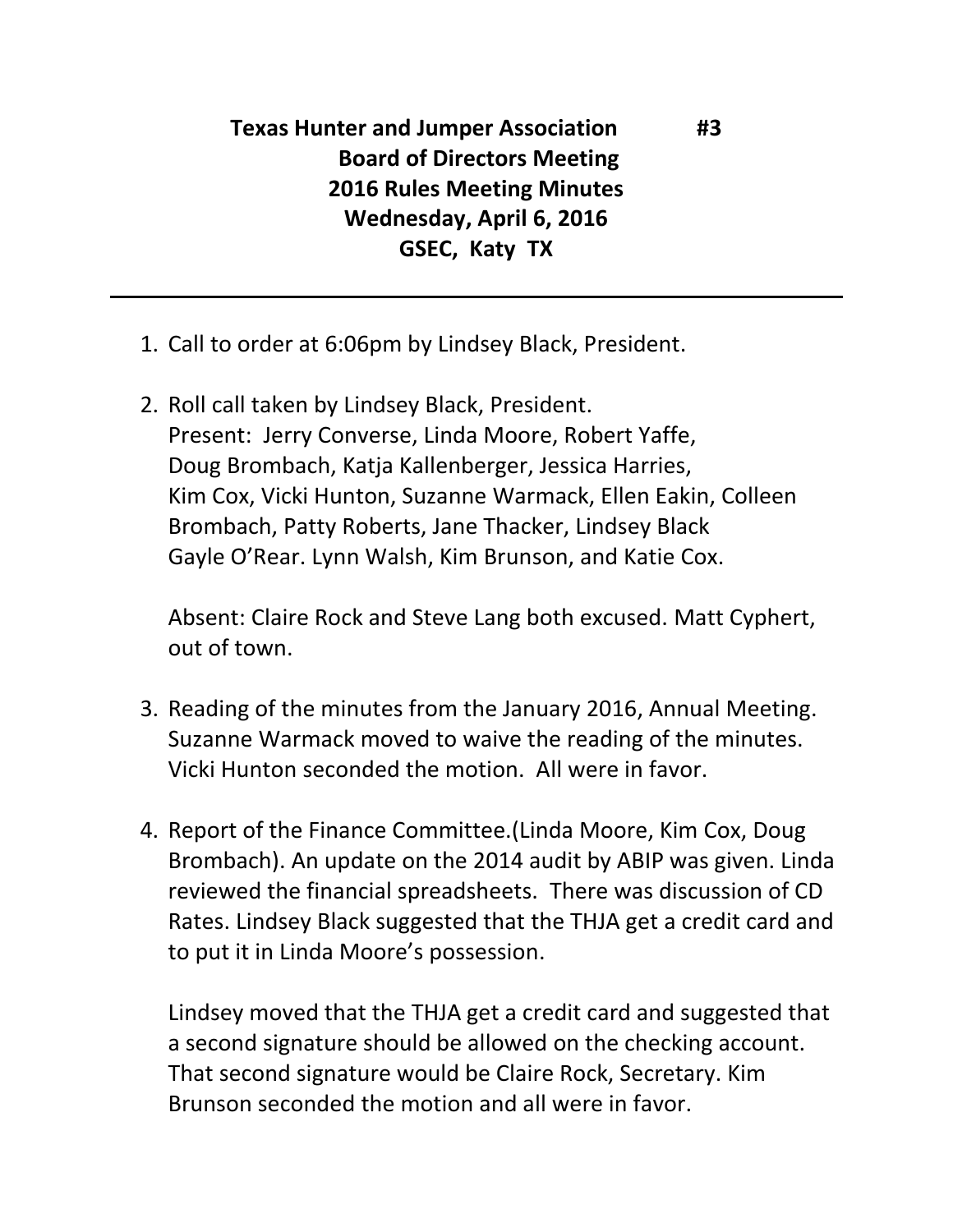## **Texas Hunter and Jumper Association #3 Board of Directors Meeting 2016 Rules Meeting Minutes Wednesday, April 6, 2016 GSEC, Katy TX**

- 1. Call to order at 6:06pm by Lindsey Black, President.
- 2. Roll call taken by Lindsey Black, President. Present: Jerry Converse, Linda Moore, Robert Yaffe, Doug Brombach, Katja Kallenberger, Jessica Harries, Kim Cox, Vicki Hunton, Suzanne Warmack, Ellen Eakin, Colleen Brombach, Patty Roberts, Jane Thacker, Lindsey Black Gayle O'Rear. Lynn Walsh, Kim Brunson, and Katie Cox.

Absent: Claire Rock and Steve Lang both excused. Matt Cyphert, out of town.

- 3. Reading of the minutes from the January 2016, Annual Meeting. Suzanne Warmack moved to waive the reading of the minutes. Vicki Hunton seconded the motion. All were in favor.
- 4. Report of the Finance Committee.(Linda Moore, Kim Cox, Doug Brombach). An update on the 2014 audit by ABIP was given. Linda reviewed the financial spreadsheets. There was discussion of CD Rates. Lindsey Black suggested that the THJA get a credit card and to put it in Linda Moore's possession.

Lindsey moved that the THJA get a credit card and suggested that a second signature should be allowed on the checking account. That second signature would be Claire Rock, Secretary. Kim Brunson seconded the motion and all were in favor.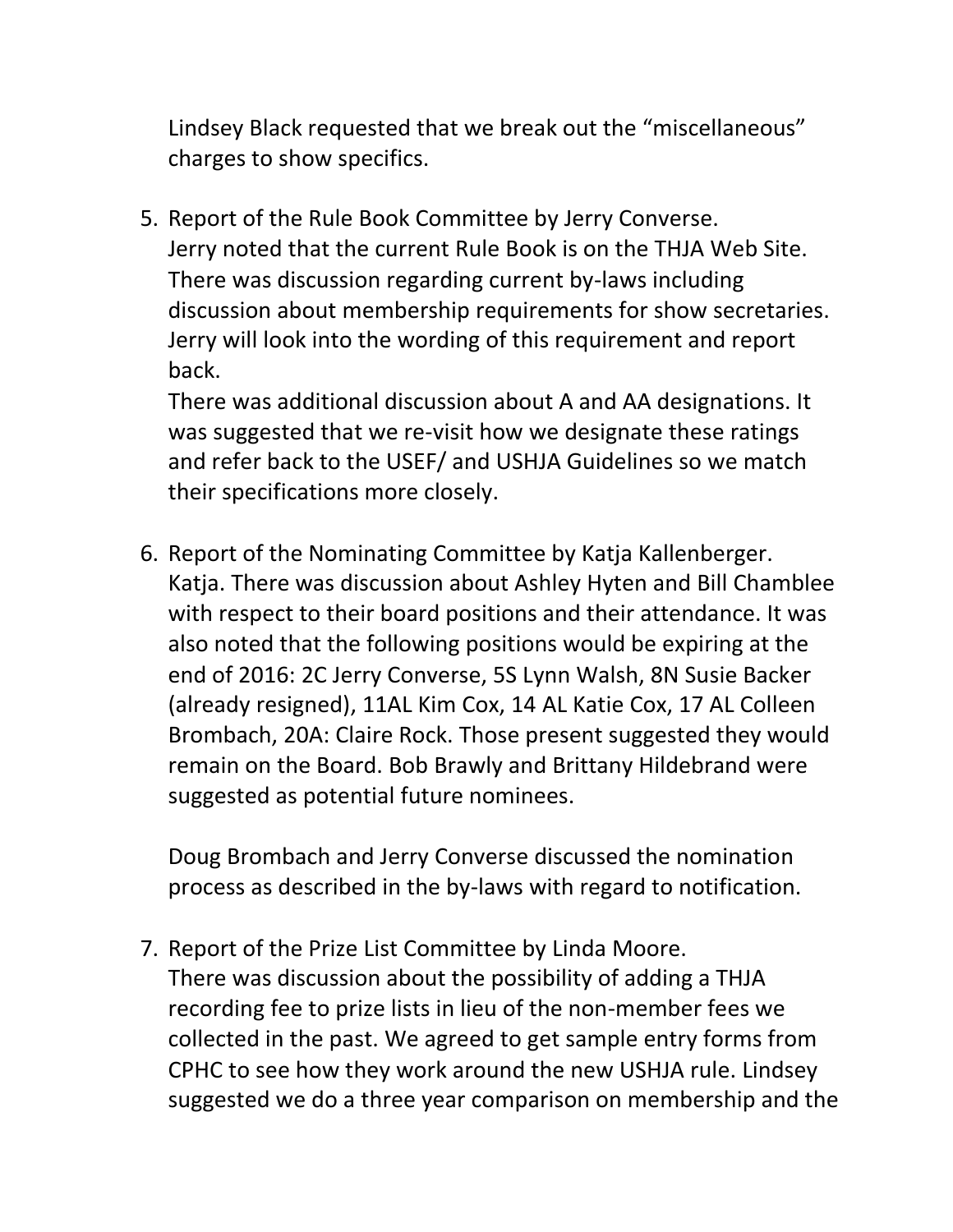Lindsey Black requested that we break out the "miscellaneous" charges to show specifics.

5. Report of the Rule Book Committee by Jerry Converse. Jerry noted that the current Rule Book is on the THJA Web Site. There was discussion regarding current by-laws including discussion about membership requirements for show secretaries. Jerry will look into the wording of this requirement and report back.

There was additional discussion about A and AA designations. It was suggested that we re-visit how we designate these ratings and refer back to the USEF/ and USHJA Guidelines so we match their specifications more closely.

6. Report of the Nominating Committee by Katja Kallenberger. Katja. There was discussion about Ashley Hyten and Bill Chamblee with respect to their board positions and their attendance. It was also noted that the following positions would be expiring at the end of 2016: 2C Jerry Converse, 5S Lynn Walsh, 8N Susie Backer (already resigned), 11AL Kim Cox, 14 AL Katie Cox, 17 AL Colleen Brombach, 20A: Claire Rock. Those present suggested they would remain on the Board. Bob Brawly and Brittany Hildebrand were suggested as potential future nominees.

Doug Brombach and Jerry Converse discussed the nomination process as described in the by-laws with regard to notification.

7. Report of the Prize List Committee by Linda Moore. There was discussion about the possibility of adding a THJA recording fee to prize lists in lieu of the non-member fees we collected in the past. We agreed to get sample entry forms from CPHC to see how they work around the new USHJA rule. Lindsey suggested we do a three year comparison on membership and the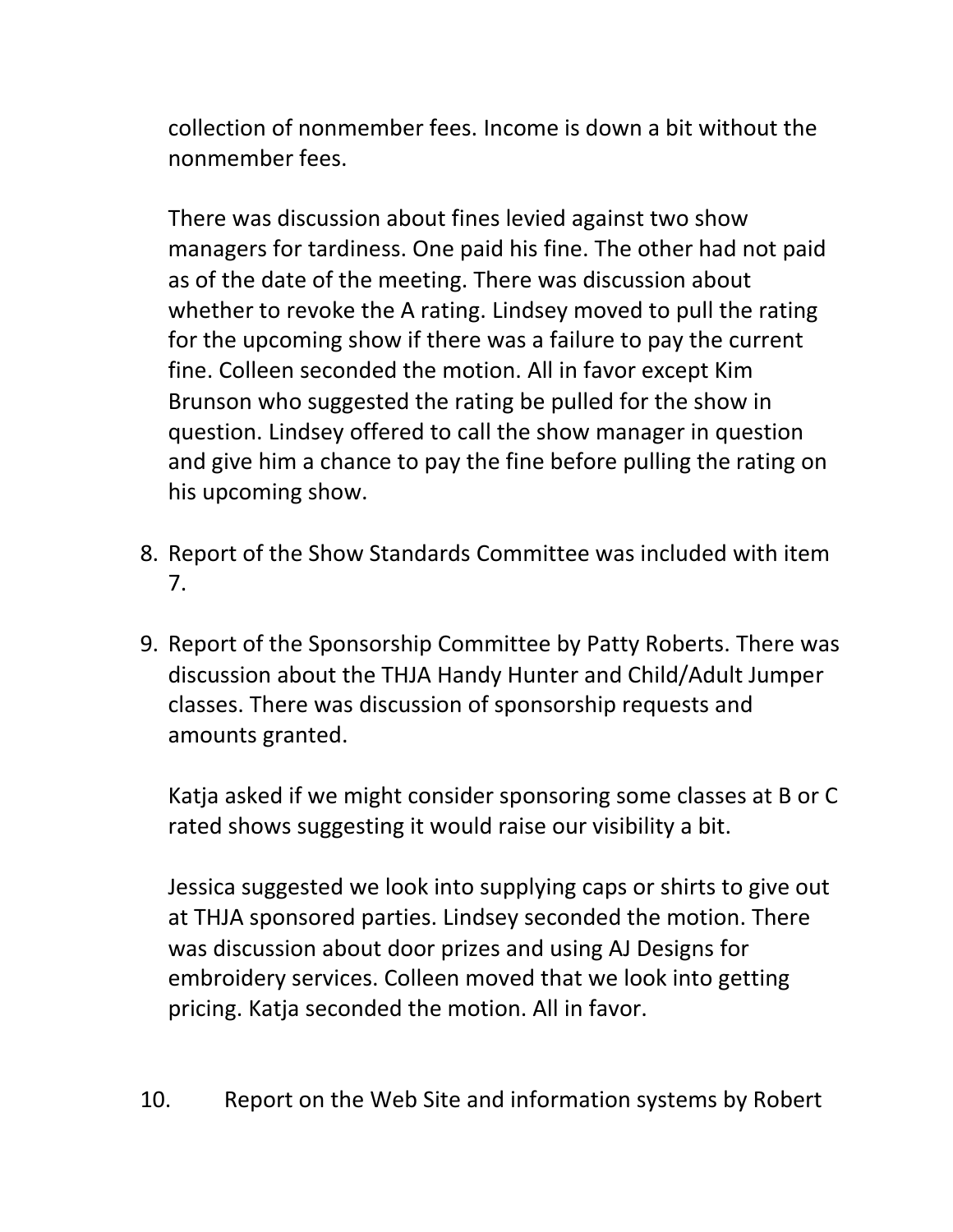collection of nonmember fees. Income is down a bit without the nonmember fees.

There was discussion about fines levied against two show managers for tardiness. One paid his fine. The other had not paid as of the date of the meeting. There was discussion about whether to revoke the A rating. Lindsey moved to pull the rating for the upcoming show if there was a failure to pay the current fine. Colleen seconded the motion. All in favor except Kim Brunson who suggested the rating be pulled for the show in question. Lindsey offered to call the show manager in question and give him a chance to pay the fine before pulling the rating on his upcoming show.

- 8. Report of the Show Standards Committee was included with item 7.
- 9. Report of the Sponsorship Committee by Patty Roberts. There was discussion about the THJA Handy Hunter and Child/Adult Jumper classes. There was discussion of sponsorship requests and amounts granted.

Katja asked if we might consider sponsoring some classes at B or C rated shows suggesting it would raise our visibility a bit.

Jessica suggested we look into supplying caps or shirts to give out at THJA sponsored parties. Lindsey seconded the motion. There was discussion about door prizes and using AJ Designs for embroidery services. Colleen moved that we look into getting pricing. Katja seconded the motion. All in favor.

10. Report on the Web Site and information systems by Robert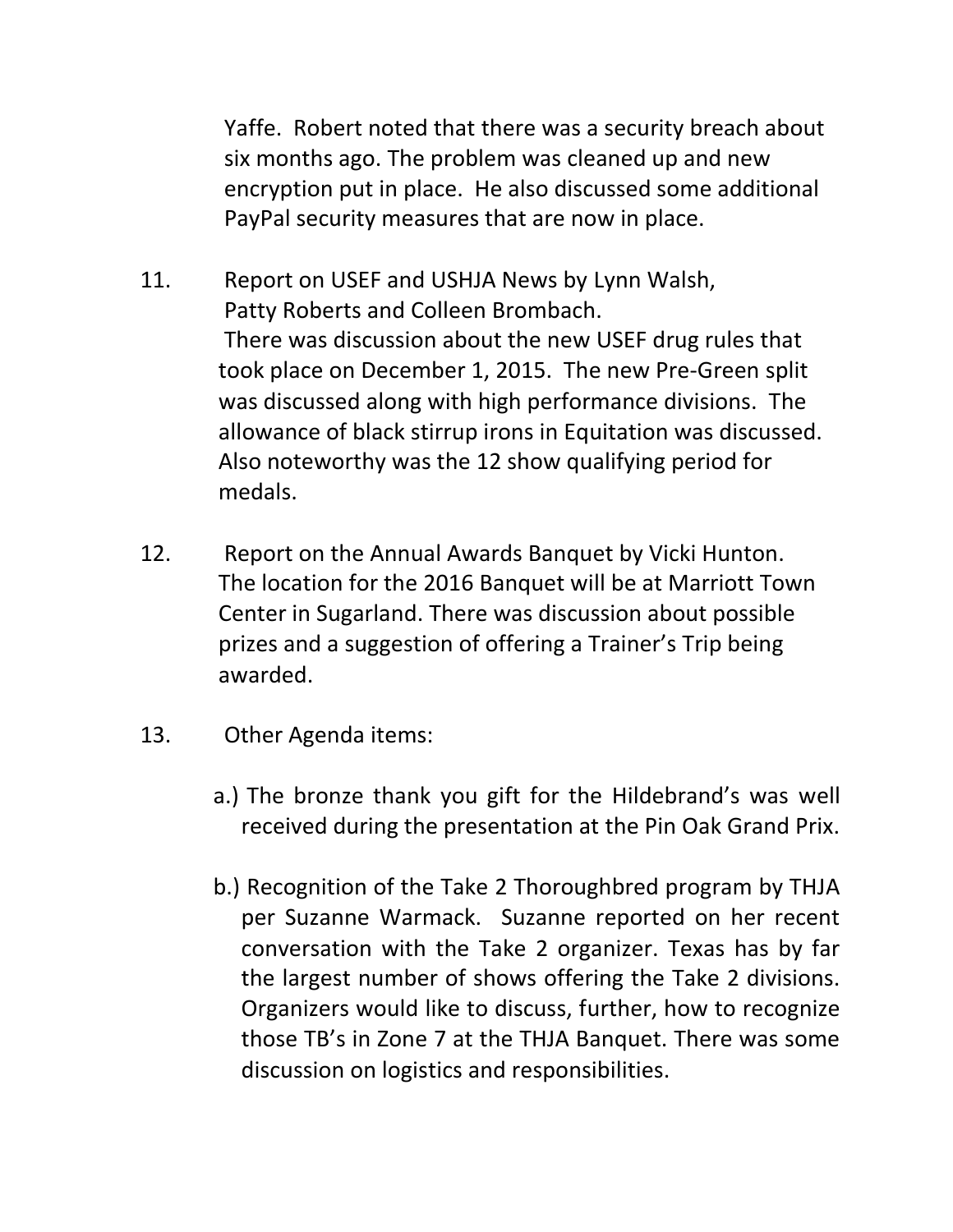Yaffe. Robert noted that there was a security breach about six months ago. The problem was cleaned up and new encryption put in place. He also discussed some additional PayPal security measures that are now in place.

- 11. Report on USEF and USHJA News by Lynn Walsh, Patty Roberts and Colleen Brombach. There was discussion about the new USEF drug rules that took place on December 1, 2015. The new Pre-Green split was discussed along with high performance divisions. The allowance of black stirrup irons in Equitation was discussed. Also noteworthy was the 12 show qualifying period for medals.
- 12. Report on the Annual Awards Banquet by Vicki Hunton. The location for the 2016 Banquet will be at Marriott Town Center in Sugarland. There was discussion about possible prizes and a suggestion of offering a Trainer's Trip being awarded.
- 13. Other Agenda items:
	- a.) The bronze thank you gift for the Hildebrand's was well received during the presentation at the Pin Oak Grand Prix.
	- b.) Recognition of the Take 2 Thoroughbred program by THJA per Suzanne Warmack. Suzanne reported on her recent conversation with the Take 2 organizer. Texas has by far the largest number of shows offering the Take 2 divisions. Organizers would like to discuss, further, how to recognize those TB's in Zone 7 at the THJA Banquet. There was some discussion on logistics and responsibilities.